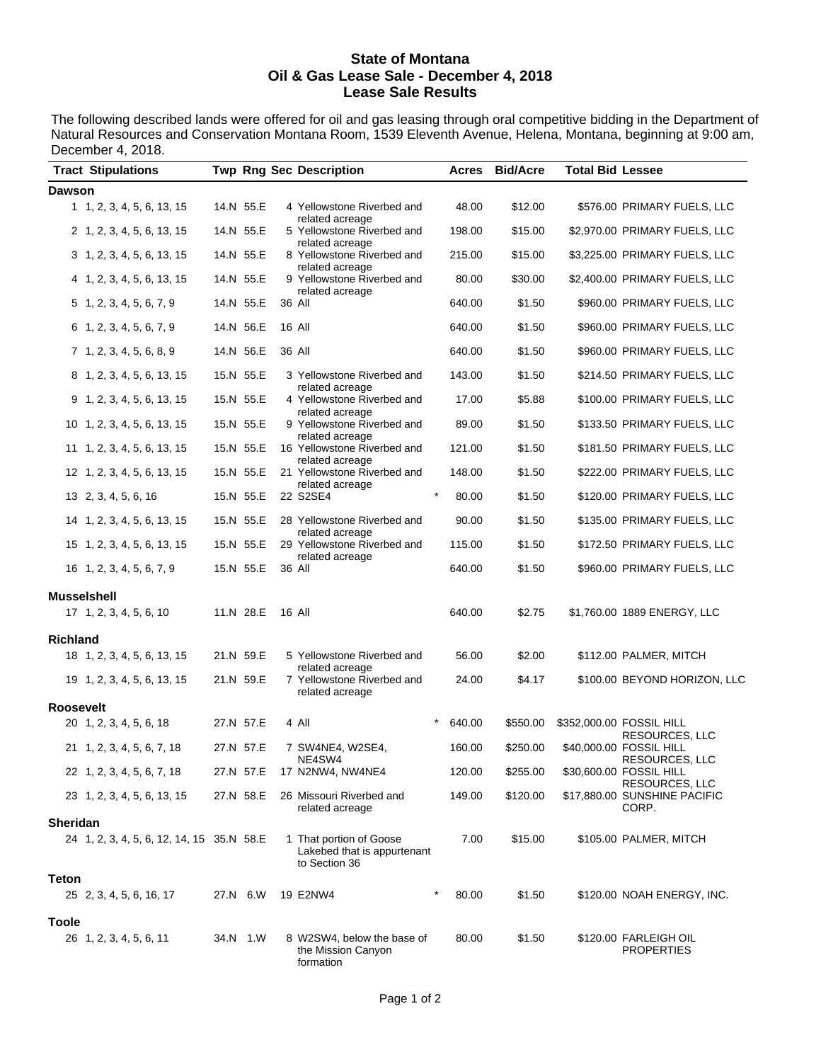#### **State of Montana Oil & Gas Lease Sale - December 4, 2018 Lease Sale Results**

The following described lands were offered for oil and gas leasing through oral competitive bidding in the Department of Natural Resources and Conservation Montana Room, 1539 Eleventh Avenue, Helena, Montana, beginning at 9:00 am, December 4, 2018.

| <b>Tract Stipulations</b>                 |           | <b>Twp Rng Sec Description</b>                                          |                  | Acres Bid/Acre | <b>Total Bid Lessee</b> |                                            |
|-------------------------------------------|-----------|-------------------------------------------------------------------------|------------------|----------------|-------------------------|--------------------------------------------|
| <b>Dawson</b>                             |           |                                                                         |                  |                |                         |                                            |
| 1 1, 2, 3, 4, 5, 6, 13, 15                | 14.N 55.E | 4 Yellowstone Riverbed and<br>related acreage                           | 48.00            | \$12.00        |                         | \$576.00 PRIMARY FUELS, LLC                |
| 2 1, 2, 3, 4, 5, 6, 13, 15                | 14.N 55.E | 5 Yellowstone Riverbed and                                              | 198.00           | \$15.00        |                         | \$2,970.00 PRIMARY FUELS, LLC              |
| 3 1, 2, 3, 4, 5, 6, 13, 15                | 14.N 55.E | related acreage<br>8 Yellowstone Riverbed and<br>related acreage        | 215.00           | \$15.00        |                         | \$3,225.00 PRIMARY FUELS, LLC              |
| 4 1, 2, 3, 4, 5, 6, 13, 15                | 14.N 55.E | 9 Yellowstone Riverbed and                                              | 80.00            | \$30.00        |                         | \$2,400.00 PRIMARY FUELS, LLC              |
| 5 1, 2, 3, 4, 5, 6, 7, 9                  | 14.N 55.E | related acreage<br>36 All                                               | 640.00           | \$1.50         |                         | \$960.00 PRIMARY FUELS, LLC                |
| 6 1, 2, 3, 4, 5, 6, 7, 9                  | 14.N 56.E | 16 All                                                                  | 640.00           | \$1.50         |                         | \$960.00 PRIMARY FUELS, LLC                |
| 7, 1, 2, 3, 4, 5, 6, 8, 9                 | 14.N 56.E | 36 All                                                                  | 640.00           | \$1.50         |                         | \$960.00 PRIMARY FUELS, LLC                |
| 8 1, 2, 3, 4, 5, 6, 13, 15                | 15.N 55.E | 3 Yellowstone Riverbed and                                              | 143.00           | \$1.50         |                         | \$214.50 PRIMARY FUELS, LLC                |
| 9 1, 2, 3, 4, 5, 6, 13, 15                | 15.N 55.E | related acreage<br>4 Yellowstone Riverbed and                           | 17.00            | \$5.88         |                         | \$100.00 PRIMARY FUELS, LLC                |
| 10 1, 2, 3, 4, 5, 6, 13, 15               | 15.N 55.E | related acreage<br>9 Yellowstone Riverbed and                           | 89.00            | \$1.50         |                         | \$133.50 PRIMARY FUELS, LLC                |
| 11 1, 2, 3, 4, 5, 6, 13, 15               | 15.N 55.E | related acreage<br>16 Yellowstone Riverbed and                          | 121.00           | \$1.50         |                         | \$181.50 PRIMARY FUELS, LLC                |
| 12 1, 2, 3, 4, 5, 6, 13, 15               | 15.N 55.E | related acreage<br>21 Yellowstone Riverbed and                          | 148.00           | \$1.50         |                         | \$222.00 PRIMARY FUELS, LLC                |
| 13 2, 3, 4, 5, 6, 16                      | 15.N 55.E | related acreage<br>22 S2SE4                                             | $\star$<br>80.00 | \$1.50         |                         | \$120.00 PRIMARY FUELS, LLC                |
| 14 1, 2, 3, 4, 5, 6, 13, 15               | 15.N 55.E | 28 Yellowstone Riverbed and                                             | 90.00            | \$1.50         |                         | \$135.00 PRIMARY FUELS, LLC                |
| 15 1, 2, 3, 4, 5, 6, 13, 15               | 15.N 55.E | related acreage<br>29 Yellowstone Riverbed and                          | 115.00           | \$1.50         |                         | \$172.50 PRIMARY FUELS, LLC                |
| 16 1, 2, 3, 4, 5, 6, 7, 9                 | 15.N 55.E | related acreage<br>36 All                                               | 640.00           | \$1.50         |                         | \$960.00 PRIMARY FUELS, LLC                |
| <b>Musselshell</b>                        |           |                                                                         |                  |                |                         |                                            |
| 17 1, 2, 3, 4, 5, 6, 10                   | 11.N 28.E | 16 All                                                                  | 640.00           | \$2.75         |                         | \$1,760.00 1889 ENERGY, LLC                |
| <b>Richland</b>                           |           |                                                                         |                  |                |                         |                                            |
| 18 1, 2, 3, 4, 5, 6, 13, 15               | 21.N 59.E | 5 Yellowstone Riverbed and<br>related acreage                           | 56.00            | \$2.00         |                         | \$112.00 PALMER, MITCH                     |
| 19 1, 2, 3, 4, 5, 6, 13, 15               | 21.N 59.E | 7 Yellowstone Riverbed and<br>related acreage                           | 24.00            | \$4.17         |                         | \$100.00 BEYOND HORIZON, LLC               |
| <b>Roosevelt</b>                          |           |                                                                         |                  |                |                         |                                            |
| 20 1, 2, 3, 4, 5, 6, 18                   | 27.N 57.E | 4 All                                                                   | 640.00           | \$550.00       |                         | \$352,000.00 FOSSIL HILL<br>RESOURCES, LLC |
| 21 1, 2, 3, 4, 5, 6, 7, 18                | 27.N 57.E | 7 SW4NE4, W2SE4,<br>NE4SW4                                              | 160.00           | \$250.00       |                         | \$40,000.00 FOSSIL HILL<br>RESOURCES, LLC  |
| 22 1, 2, 3, 4, 5, 6, 7, 18                | 27.N 57.E | 17 N2NW4, NW4NE4                                                        | 120.00           | \$255.00       |                         | \$30,600.00 FOSSIL HILL<br>RESOURCES, LLC  |
| 23 1, 2, 3, 4, 5, 6, 13, 15               | 27.N 58.E | 26 Missouri Riverbed and<br>related acreage                             | 149.00           | \$120.00       |                         | \$17,880.00 SUNSHINE PACIFIC<br>CORP.      |
| <b>Sheridan</b>                           |           |                                                                         |                  |                |                         |                                            |
| 24 1, 2, 3, 4, 5, 6, 12, 14, 15 35.N 58.E |           | 1 That portion of Goose<br>Lakebed that is appurtenant<br>to Section 36 | 7.00             | \$15.00        |                         | \$105.00 PALMER, MITCH                     |
| Teton<br>25 2, 3, 4, 5, 6, 16, 17         | 27.N 6.W  | 19 E2NW4                                                                | 80.00            | \$1.50         |                         | \$120.00 NOAH ENERGY, INC.                 |
| <b>Toole</b>                              |           |                                                                         |                  |                |                         |                                            |
| 26 1, 2, 3, 4, 5, 6, 11                   | 34.N 1.W  | 8 W2SW4, below the base of<br>the Mission Canyon<br>formation           | 80.00            | \$1.50         |                         | \$120.00 FARLEIGH OIL<br><b>PROPERTIES</b> |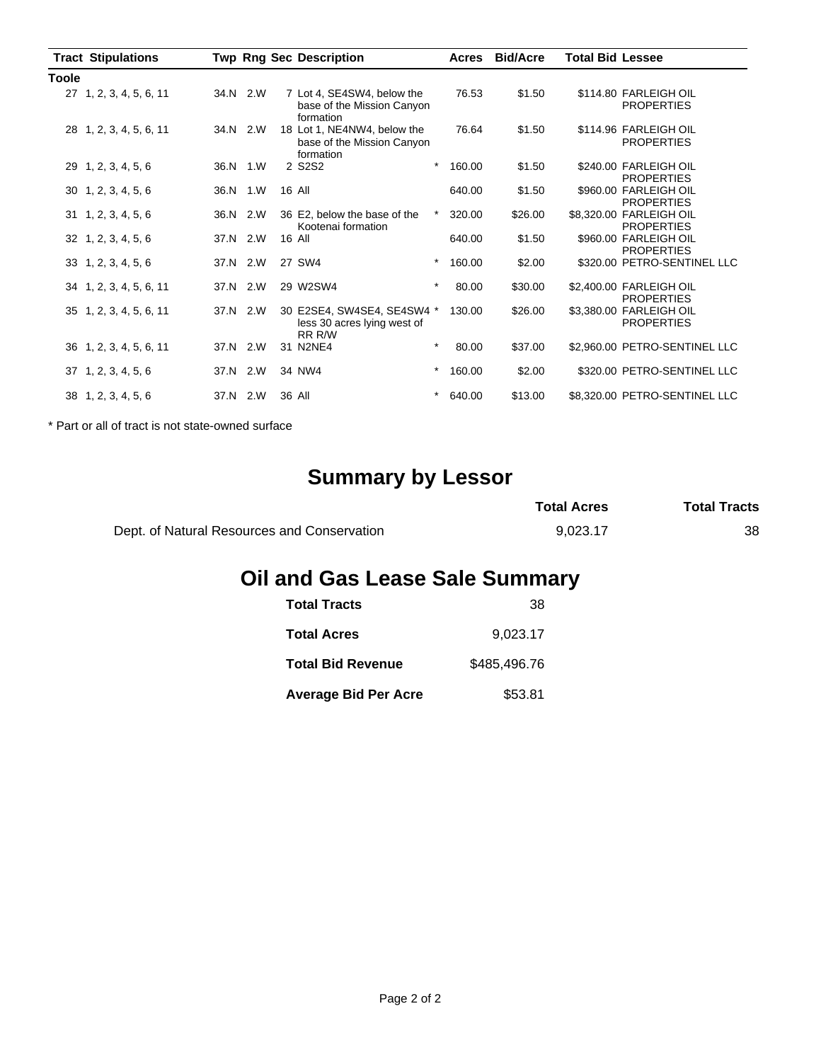|              | <b>Tract Stipulations</b>   |      |          | <b>Twp Rng Sec Description</b>                                         | Acres  | <b>Bid/Acre</b> | <b>Total Bid Lessee</b> |                                              |
|--------------|-----------------------------|------|----------|------------------------------------------------------------------------|--------|-----------------|-------------------------|----------------------------------------------|
| <b>Toole</b> |                             |      |          |                                                                        |        |                 |                         |                                              |
|              | 27 1, 2, 3, 4, 5, 6, 11     |      | 34.N 2.W | 7 Lot 4, SE4SW4, below the<br>base of the Mission Canyon<br>formation  | 76.53  | \$1.50          |                         | \$114.80 FARLEIGH OIL<br><b>PROPERTIES</b>   |
|              | 28 1, 2, 3, 4, 5, 6, 11     |      | 34.N 2.W | 18 Lot 1, NE4NW4, below the<br>base of the Mission Canyon<br>formation | 76.64  | \$1.50          |                         | \$114.96 FARLEIGH OIL<br><b>PROPERTIES</b>   |
|              | 29 1, 2, 3, 4, 5, 6         |      | 36.N 1.W | $\star$<br>2 S2S2                                                      | 160.00 | \$1.50          |                         | \$240.00 FARLEIGH OIL<br><b>PROPERTIES</b>   |
|              | $30 \quad 1, 2, 3, 4, 5, 6$ |      | 36.N 1.W | 16 All                                                                 | 640.00 | \$1.50          |                         | \$960.00 FARLEIGH OIL<br><b>PROPERTIES</b>   |
|              | $31 \quad 1, 2, 3, 4, 5, 6$ | 36.N | 2.W      | $^{\ast}$<br>36 E2, below the base of the<br>Kootenai formation        | 320.00 | \$26.00         |                         | \$8,320.00 FARLEIGH OIL<br><b>PROPERTIES</b> |
|              | $32 \quad 1, 2, 3, 4, 5, 6$ |      | 37.N 2.W | 16 All                                                                 | 640.00 | \$1.50          |                         | \$960.00 FARLEIGH OIL<br><b>PROPERTIES</b>   |
|              | $33 \quad 1, 2, 3, 4, 5, 6$ | 37.N | 2.W      | $^\star$<br>27 SW4                                                     | 160.00 | \$2.00          |                         | \$320.00 PETRO-SENTINEL LLC                  |
|              | 34 1, 2, 3, 4, 5, 6, 11     |      | 37.N 2.W | $\star$<br>29 W2SW4                                                    | 80.00  | \$30.00         |                         | \$2,400.00 FARLEIGH OIL<br><b>PROPERTIES</b> |
|              | 35 1, 2, 3, 4, 5, 6, 11     |      | 37.N 2.W | 30 E2SE4, SW4SE4, SE4SW4 *<br>less 30 acres lying west of<br>RR R/W    | 130.00 | \$26.00         |                         | \$3,380.00 FARLEIGH OIL<br><b>PROPERTIES</b> |
|              | 36 1, 2, 3, 4, 5, 6, 11     | 37.N | 2.W      | $\star$<br>31 N2NE4                                                    | 80.00  | \$37.00         |                         | \$2,960.00 PETRO-SENTINEL LLC                |
|              | $37 \quad 1, 2, 3, 4, 5, 6$ | 37.N | 2.W      | $^\star$<br>34 NW4                                                     | 160.00 | \$2.00          |                         | \$320.00 PETRO-SENTINEL LLC                  |
|              | 38 1, 2, 3, 4, 5, 6         | 37.N | 2.W      | $^\star$<br>36 All                                                     | 640.00 | \$13.00         |                         | \$8,320.00 PETRO-SENTINEL LLC                |

\* Part or all of tract is not state-owned surface

# **Summary by Lessor**

|                                             | <b>Total Acres</b> | <b>Total Tracts</b> |
|---------------------------------------------|--------------------|---------------------|
| Dept. of Natural Resources and Conservation | 9.023.17           | 38                  |

# **Oil and Gas Lease Sale Summary**

| <b>Total Tracts</b>         | 38           |
|-----------------------------|--------------|
| <b>Total Acres</b>          | 9,023.17     |
| <b>Total Bid Revenue</b>    | \$485,496,76 |
| <b>Average Bid Per Acre</b> | \$53.81      |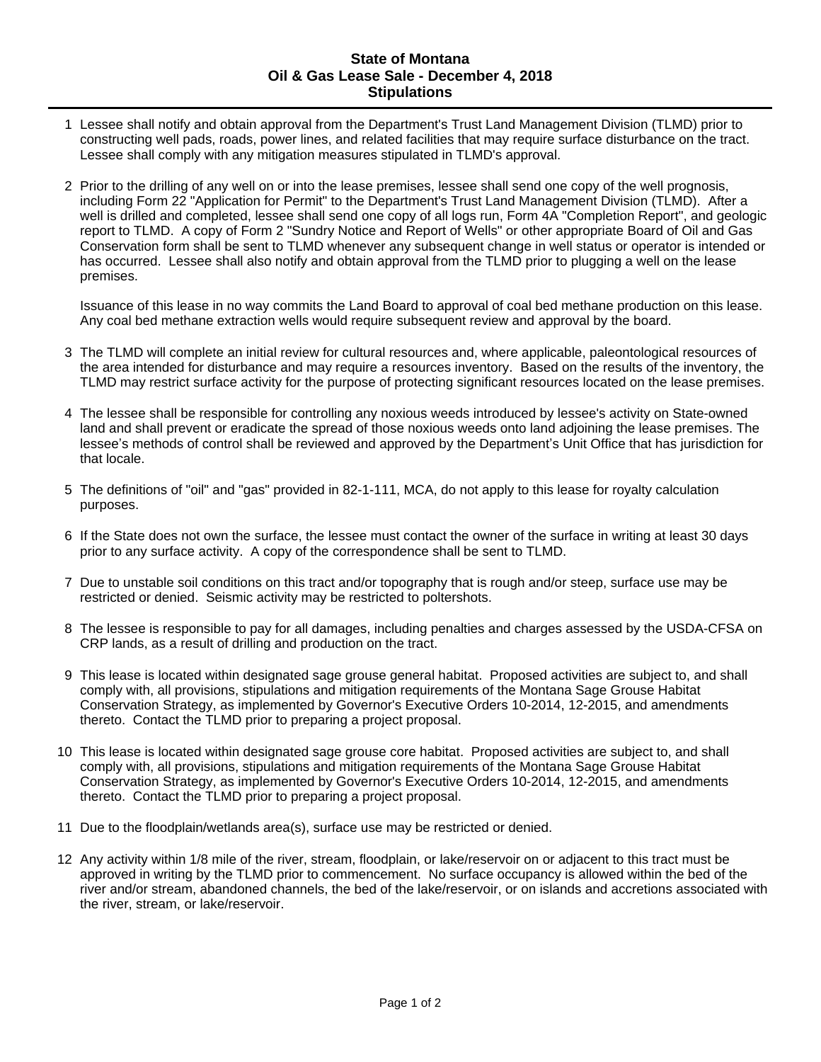#### **State of Montana Oil & Gas Lease Sale - December 4, 2018 Stipulations**

- 1 Lessee shall notify and obtain approval from the Department's Trust Land Management Division (TLMD) prior to constructing well pads, roads, power lines, and related facilities that may require surface disturbance on the tract. Lessee shall comply with any mitigation measures stipulated in TLMD's approval.
- 2 Prior to the drilling of any well on or into the lease premises, lessee shall send one copy of the well prognosis, including Form 22 "Application for Permit" to the Department's Trust Land Management Division (TLMD). After a well is drilled and completed, lessee shall send one copy of all logs run, Form 4A "Completion Report", and geologic report to TLMD. A copy of Form 2 "Sundry Notice and Report of Wells" or other appropriate Board of Oil and Gas Conservation form shall be sent to TLMD whenever any subsequent change in well status or operator is intended or has occurred. Lessee shall also notify and obtain approval from the TLMD prior to plugging a well on the lease premises.

Issuance of this lease in no way commits the Land Board to approval of coal bed methane production on this lease. Any coal bed methane extraction wells would require subsequent review and approval by the board.

- 3 The TLMD will complete an initial review for cultural resources and, where applicable, paleontological resources of the area intended for disturbance and may require a resources inventory. Based on the results of the inventory, the TLMD may restrict surface activity for the purpose of protecting significant resources located on the lease premises.
- 4 The lessee shall be responsible for controlling any noxious weeds introduced by lessee's activity on State-owned land and shall prevent or eradicate the spread of those noxious weeds onto land adjoining the lease premises. The lessee's methods of control shall be reviewed and approved by the Department's Unit Office that has jurisdiction for that locale.
- 5 The definitions of "oil" and "gas" provided in 82-1-111, MCA, do not apply to this lease for royalty calculation purposes.
- 6 If the State does not own the surface, the lessee must contact the owner of the surface in writing at least 30 days prior to any surface activity. A copy of the correspondence shall be sent to TLMD.
- 7 Due to unstable soil conditions on this tract and/or topography that is rough and/or steep, surface use may be restricted or denied. Seismic activity may be restricted to poltershots.
- 8 The lessee is responsible to pay for all damages, including penalties and charges assessed by the USDA-CFSA on CRP lands, as a result of drilling and production on the tract.
- 9 This lease is located within designated sage grouse general habitat. Proposed activities are subject to, and shall comply with, all provisions, stipulations and mitigation requirements of the Montana Sage Grouse Habitat Conservation Strategy, as implemented by Governor's Executive Orders 10-2014, 12-2015, and amendments thereto. Contact the TLMD prior to preparing a project proposal.
- 10 This lease is located within designated sage grouse core habitat. Proposed activities are subject to, and shall comply with, all provisions, stipulations and mitigation requirements of the Montana Sage Grouse Habitat Conservation Strategy, as implemented by Governor's Executive Orders 10-2014, 12-2015, and amendments thereto. Contact the TLMD prior to preparing a project proposal.
- 11 Due to the floodplain/wetlands area(s), surface use may be restricted or denied.
- 12 Any activity within 1/8 mile of the river, stream, floodplain, or lake/reservoir on or adjacent to this tract must be approved in writing by the TLMD prior to commencement. No surface occupancy is allowed within the bed of the river and/or stream, abandoned channels, the bed of the lake/reservoir, or on islands and accretions associated with the river, stream, or lake/reservoir.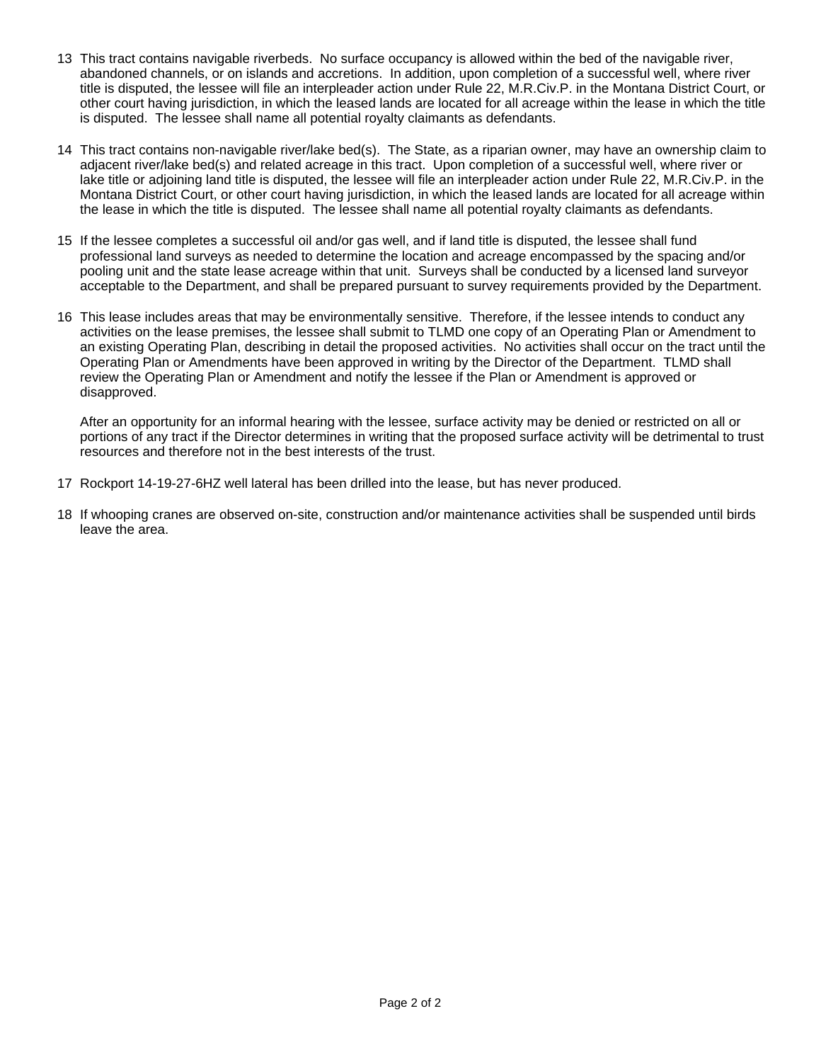- 13 This tract contains navigable riverbeds. No surface occupancy is allowed within the bed of the navigable river, abandoned channels, or on islands and accretions. In addition, upon completion of a successful well, where river title is disputed, the lessee will file an interpleader action under Rule 22, M.R.Civ.P. in the Montana District Court, or other court having jurisdiction, in which the leased lands are located for all acreage within the lease in which the title is disputed. The lessee shall name all potential royalty claimants as defendants.
- 14 This tract contains non-navigable river/lake bed(s). The State, as a riparian owner, may have an ownership claim to adjacent river/lake bed(s) and related acreage in this tract. Upon completion of a successful well, where river or lake title or adjoining land title is disputed, the lessee will file an interpleader action under Rule 22, M.R.Civ.P. in the Montana District Court, or other court having jurisdiction, in which the leased lands are located for all acreage within the lease in which the title is disputed. The lessee shall name all potential royalty claimants as defendants.
- 15 If the lessee completes a successful oil and/or gas well, and if land title is disputed, the lessee shall fund professional land surveys as needed to determine the location and acreage encompassed by the spacing and/or pooling unit and the state lease acreage within that unit. Surveys shall be conducted by a licensed land surveyor acceptable to the Department, and shall be prepared pursuant to survey requirements provided by the Department.
- 16 This lease includes areas that may be environmentally sensitive. Therefore, if the lessee intends to conduct any activities on the lease premises, the lessee shall submit to TLMD one copy of an Operating Plan or Amendment to an existing Operating Plan, describing in detail the proposed activities. No activities shall occur on the tract until the Operating Plan or Amendments have been approved in writing by the Director of the Department. TLMD shall review the Operating Plan or Amendment and notify the lessee if the Plan or Amendment is approved or disapproved.

After an opportunity for an informal hearing with the lessee, surface activity may be denied or restricted on all or portions of any tract if the Director determines in writing that the proposed surface activity will be detrimental to trust resources and therefore not in the best interests of the trust.

- 17 Rockport 14-19-27-6HZ well lateral has been drilled into the lease, but has never produced.
- 18 If whooping cranes are observed on-site, construction and/or maintenance activities shall be suspended until birds leave the area.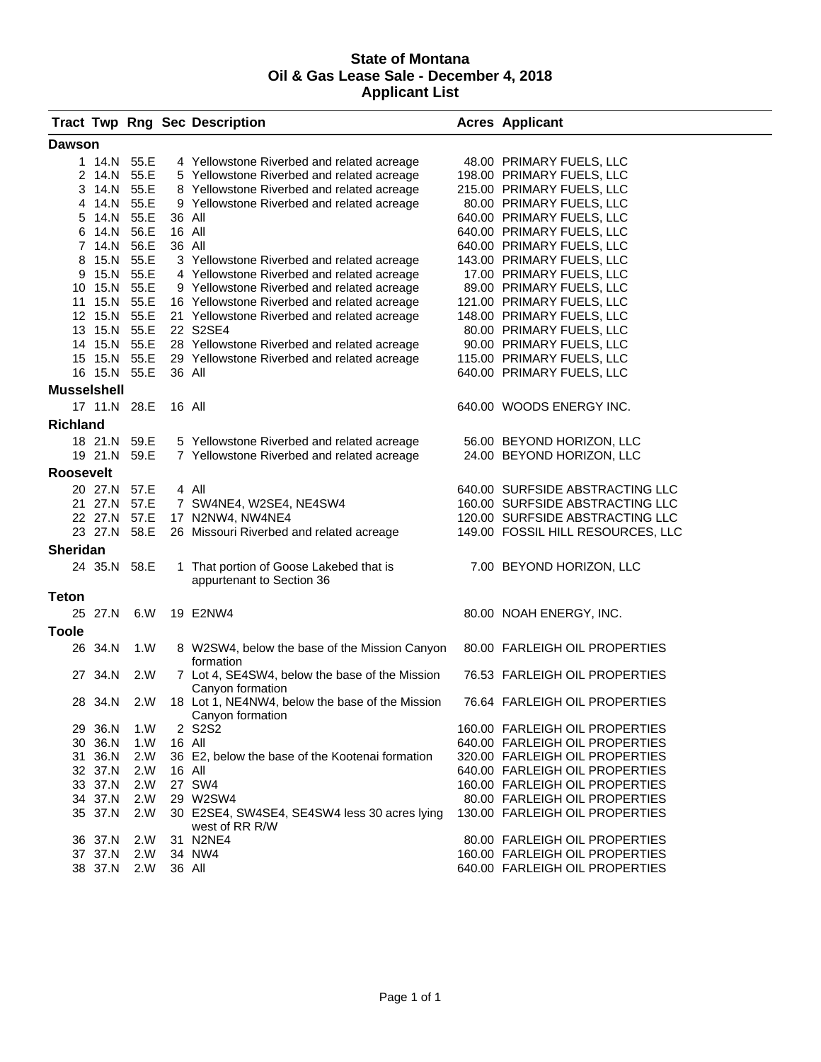#### **State of Montana Oil & Gas Lease Sale - December 4, 2018 Applicant List**

|                    |              |              |        | <b>Tract Twp Rng Sec Description</b>                                 | <b>Acres Applicant</b>            |
|--------------------|--------------|--------------|--------|----------------------------------------------------------------------|-----------------------------------|
| <b>Dawson</b>      |              |              |        |                                                                      |                                   |
|                    | 1 14.N 55.E  |              |        | 4 Yellowstone Riverbed and related acreage                           | 48.00 PRIMARY FUELS, LLC          |
|                    |              | 2 14.N 55.E  |        | 5 Yellowstone Riverbed and related acreage                           | 198.00 PRIMARY FUELS, LLC         |
|                    |              | 3 14.N 55.E  |        | 8 Yellowstone Riverbed and related acreage                           | 215.00 PRIMARY FUELS, LLC         |
|                    | 4 14.N 55.E  |              |        | 9 Yellowstone Riverbed and related acreage                           | 80.00 PRIMARY FUELS, LLC          |
|                    | 5 14.N 55.E  |              | 36 All |                                                                      | 640.00 PRIMARY FUELS, LLC         |
| 6                  | 14.N         | 56.E         | 16 All |                                                                      | 640.00 PRIMARY FUELS, LLC         |
|                    | 7 14.N       | 56.E         | 36 All |                                                                      | 640.00 PRIMARY FUELS, LLC         |
| 8                  | 15.N 55.E    |              |        | 3 Yellowstone Riverbed and related acreage                           | 143.00 PRIMARY FUELS, LLC         |
|                    |              | 9 15.N 55.E  |        | 4 Yellowstone Riverbed and related acreage                           | 17.00 PRIMARY FUELS, LLC          |
|                    |              | 10 15.N 55.E |        | 9 Yellowstone Riverbed and related acreage                           | 89.00 PRIMARY FUELS, LLC          |
|                    |              | 11 15.N 55.E |        | 16 Yellowstone Riverbed and related acreage                          | 121.00 PRIMARY FUELS, LLC         |
|                    | 12 15.N 55.E |              |        | 21 Yellowstone Riverbed and related acreage                          | 148.00 PRIMARY FUELS, LLC         |
|                    | 13 15.N 55.E |              |        | 22 S2SE4                                                             | 80.00 PRIMARY FUELS, LLC          |
|                    |              |              |        |                                                                      |                                   |
|                    | 14 15.N 55.E |              |        | 28 Yellowstone Riverbed and related acreage                          | 90.00 PRIMARY FUELS, LLC          |
|                    |              | 15 15.N 55.E |        | 29 Yellowstone Riverbed and related acreage                          | 115.00 PRIMARY FUELS, LLC         |
|                    |              | 16 15.N 55.E | 36 All |                                                                      | 640.00 PRIMARY FUELS, LLC         |
| <b>Musselshell</b> |              |              |        |                                                                      |                                   |
|                    | 17 11.N 28.E |              | 16 All |                                                                      | 640.00 WOODS ENERGY INC.          |
| <b>Richland</b>    |              |              |        |                                                                      |                                   |
|                    | 18 21.N 59.E |              |        | 5 Yellowstone Riverbed and related acreage                           | 56.00 BEYOND HORIZON, LLC         |
|                    | 19 21.N 59.E |              |        | 7 Yellowstone Riverbed and related acreage                           | 24.00 BEYOND HORIZON, LLC         |
|                    |              |              |        |                                                                      |                                   |
| <b>Roosevelt</b>   |              |              |        |                                                                      |                                   |
|                    | 20 27.N 57.E |              |        | 4 All                                                                | 640.00 SURFSIDE ABSTRACTING LLC   |
|                    |              | 21 27.N 57.E |        | 7 SW4NE4, W2SE4, NE4SW4                                              | 160.00 SURFSIDE ABSTRACTING LLC   |
|                    |              | 22 27.N 57.E |        | 17 N2NW4, NW4NE4                                                     | 120.00 SURFSIDE ABSTRACTING LLC   |
|                    |              | 23 27.N 58.E |        | 26 Missouri Riverbed and related acreage                             | 149.00 FOSSIL HILL RESOURCES, LLC |
| <b>Sheridan</b>    |              |              |        |                                                                      |                                   |
|                    | 24 35.N 58.E |              |        |                                                                      |                                   |
|                    |              |              |        | 1 That portion of Goose Lakebed that is<br>appurtenant to Section 36 | 7.00 BEYOND HORIZON, LLC          |
|                    |              |              |        |                                                                      |                                   |
| <b>Teton</b>       |              |              |        |                                                                      |                                   |
|                    | 25 27.N      | 6.W          |        | 19 E2NW4                                                             | 80.00 NOAH ENERGY, INC.           |
| <b>Toole</b>       |              |              |        |                                                                      |                                   |
|                    | 26 34.N      | 1.W          |        | 8 W2SW4, below the base of the Mission Canyon                        | 80.00 FARLEIGH OIL PROPERTIES     |
|                    |              |              |        | formation                                                            |                                   |
|                    | 27 34.N      | 2.W          |        | 7 Lot 4, SE4SW4, below the base of the Mission                       | 76.53 FARLEIGH OIL PROPERTIES     |
|                    |              |              |        | Canyon formation                                                     |                                   |
|                    | 28 34.N      | 2.W          |        | 18 Lot 1, NE4NW4, below the base of the Mission                      | 76.64 FARLEIGH OIL PROPERTIES     |
|                    |              |              |        | Canyon formation                                                     |                                   |
|                    | 29 36.N      | 1.W          |        | 2 S2S2                                                               | 160.00 FARLEIGH OIL PROPERTIES    |
|                    | 30 36.N      | 1.W          | 16 All |                                                                      | 640.00 FARLEIGH OIL PROPERTIES    |
|                    | 31 36.N      | 2.W          |        | 36 E2, below the base of the Kootenai formation                      | 320.00 FARLEIGH OIL PROPERTIES    |
|                    | 32 37.N      | 2.W          | 16 All |                                                                      | 640.00 FARLEIGH OIL PROPERTIES    |
|                    | 33 37.N      | 2.W          |        | 27 SW4                                                               | 160.00 FARLEIGH OIL PROPERTIES    |
|                    | 34 37.N      | 2.W          |        | 29 W2SW4                                                             | 80.00 FARLEIGH OIL PROPERTIES     |
|                    | 35 37.N      | 2.W          |        | 30 E2SE4, SW4SE4, SE4SW4 less 30 acres lying                         | 130.00 FARLEIGH OIL PROPERTIES    |
|                    |              |              |        | west of RR R/W                                                       |                                   |
|                    | 36 37.N      | 2.W          |        | 31 N2NE4                                                             | 80.00 FARLEIGH OIL PROPERTIES     |
|                    | 37 37.N      | 2.W          |        | 34 NW4                                                               | 160.00 FARLEIGH OIL PROPERTIES    |
|                    | 38 37.N      | 2.W          | 36 All |                                                                      | 640.00 FARLEIGH OIL PROPERTIES    |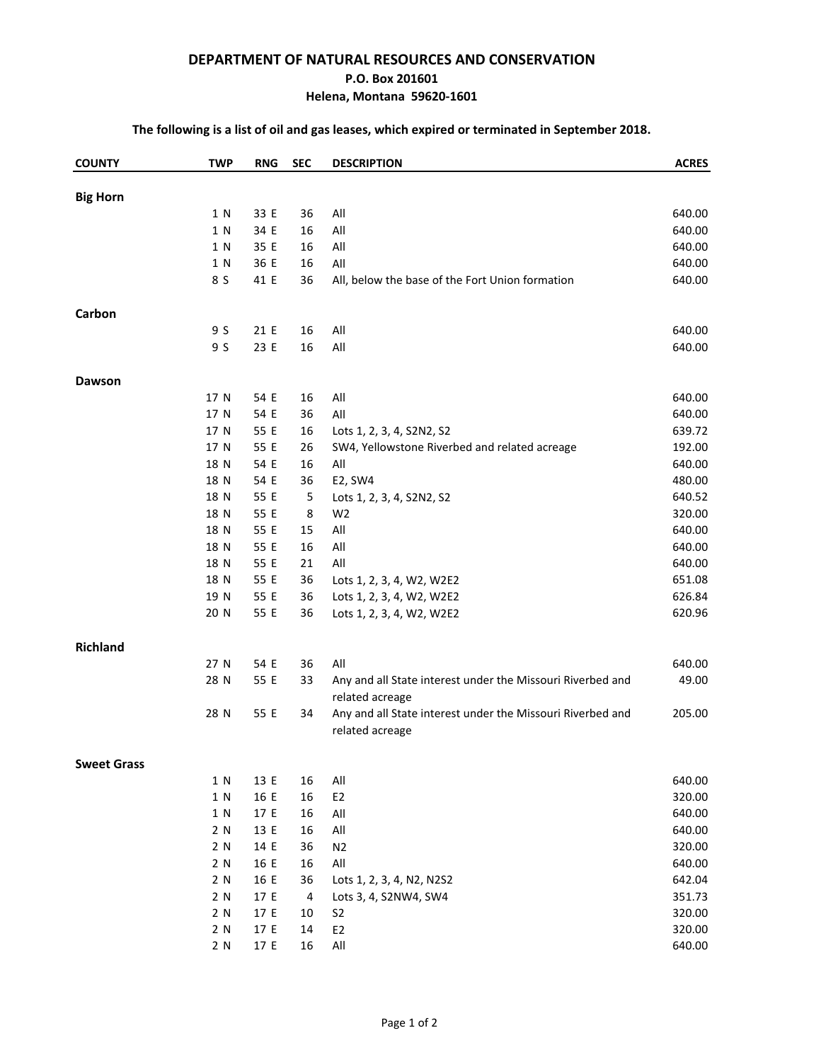#### **DEPARTMENT OF NATURAL RESOURCES AND CONSERVATION**

#### **P.O. Box 201601**

#### **Helena, Montana 59620-1601**

#### **The following is a list of oil and gas leases, which expired or terminated in September 2018.**

| <b>COUNTY</b>      | <b>TWP</b> | <b>RNG</b> | <b>SEC</b> | <b>DESCRIPTION</b>                                                            | <b>ACRES</b> |
|--------------------|------------|------------|------------|-------------------------------------------------------------------------------|--------------|
| <b>Big Horn</b>    |            |            |            |                                                                               |              |
|                    | 1 N        | 33 E       | 36         | All                                                                           | 640.00       |
|                    | 1 N        | 34 E       | 16         | All                                                                           | 640.00       |
|                    | 1 N        | 35 E       | 16         | All                                                                           | 640.00       |
|                    | 1 N        | 36 E       | 16         | All                                                                           | 640.00       |
|                    | 8 S        | 41 E       | 36         | All, below the base of the Fort Union formation                               | 640.00       |
| Carbon             |            |            |            |                                                                               |              |
|                    | 9 S        | 21 E       | 16         | All                                                                           | 640.00       |
|                    | 9 S        | 23 E       | 16         | All                                                                           | 640.00       |
| <b>Dawson</b>      |            |            |            |                                                                               |              |
|                    | 17 N       | 54 E       | 16         | All                                                                           | 640.00       |
|                    | 17 N       | 54 E       | 36         | All                                                                           | 640.00       |
|                    | 17 N       | 55 E       | 16         | Lots 1, 2, 3, 4, S2N2, S2                                                     | 639.72       |
|                    | 17 N       | 55 E       | 26         | SW4, Yellowstone Riverbed and related acreage                                 | 192.00       |
|                    | 18 N       | 54 E       | 16         | All                                                                           | 640.00       |
|                    | 18 N       | 54 E       | 36         | E2, SW4                                                                       | 480.00       |
|                    | 18 N       | 55 E       | 5          | Lots 1, 2, 3, 4, S2N2, S2                                                     | 640.52       |
|                    | 18 N       | 55 E       | 8          | W <sub>2</sub>                                                                | 320.00       |
|                    | 18 N       | 55 E       | 15         | All                                                                           | 640.00       |
|                    | 18 N       | 55 E       | 16         | All                                                                           | 640.00       |
|                    | 18 N       | 55 E       | 21         | All                                                                           | 640.00       |
|                    | 18 N       | 55 E       | 36         | Lots 1, 2, 3, 4, W2, W2E2                                                     | 651.08       |
|                    | 19 N       | 55 E       | 36         | Lots 1, 2, 3, 4, W2, W2E2                                                     | 626.84       |
|                    | 20 N       | 55 E       | 36         | Lots 1, 2, 3, 4, W2, W2E2                                                     | 620.96       |
| <b>Richland</b>    |            |            |            |                                                                               |              |
|                    | 27 N       | 54 E       | 36         | All                                                                           | 640.00       |
|                    | 28 N       | 55 E       | 33         | Any and all State interest under the Missouri Riverbed and<br>related acreage | 49.00        |
|                    | 28 N       | 55 E       | 34         | Any and all State interest under the Missouri Riverbed and<br>related acreage | 205.00       |
| <b>Sweet Grass</b> |            |            |            |                                                                               |              |
|                    | 1 N        | 13 E       | 16         | All                                                                           | 640.00       |
|                    | 1 N        | 16 E       | 16         | E <sub>2</sub>                                                                | 320.00       |
|                    | 1 N        | 17 E       | 16         | All                                                                           | 640.00       |
|                    | 2 N        | 13 E       | 16         | All                                                                           | 640.00       |
|                    | 2 N        | 14 E       | 36         | N <sub>2</sub>                                                                | 320.00       |
|                    | 2 N        | 16 E       | 16         | $\mathsf{All}$                                                                | 640.00       |
|                    | 2 N        | 16 E       | 36         | Lots 1, 2, 3, 4, N2, N2S2                                                     | 642.04       |
|                    | 2 N        | 17 E       | 4          | Lots 3, 4, S2NW4, SW4                                                         | 351.73       |
|                    | 2 N        | 17 E       | 10         | S <sub>2</sub>                                                                | 320.00       |
|                    | 2 N        | 17 E       | 14         | E <sub>2</sub>                                                                | 320.00       |
|                    | 2 N        | 17 E       | 16         | $\mathsf{All}$                                                                | 640.00       |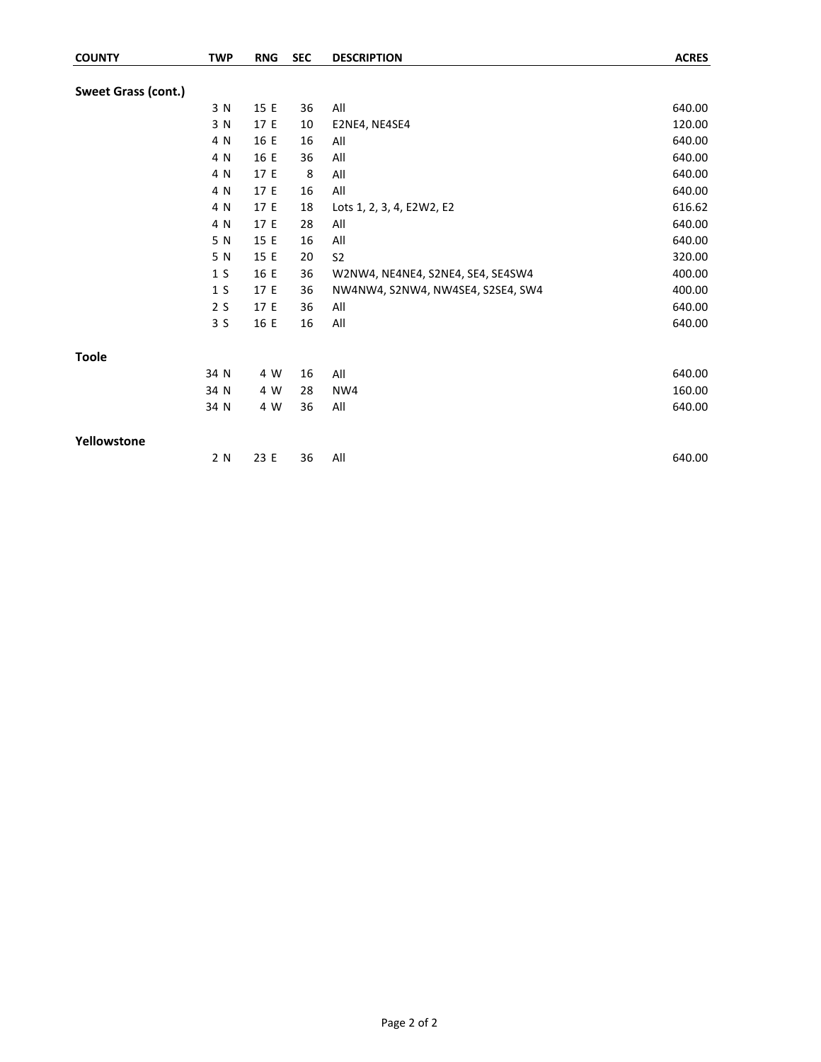| <b>COUNTY</b>       | <b>TWP</b>     | <b>RNG</b> | <b>SEC</b> | <b>DESCRIPTION</b>                | <b>ACRES</b> |
|---------------------|----------------|------------|------------|-----------------------------------|--------------|
|                     |                |            |            |                                   |              |
| Sweet Grass (cont.) |                |            |            |                                   |              |
|                     | 3 N            | 15 E       | 36         | All                               | 640.00       |
|                     | 3 N            | 17 E       | 10         | E2NE4, NE4SE4                     | 120.00       |
|                     | 4 N            | 16 E       | 16         | All                               | 640.00       |
|                     | 4 N            | 16 E       | 36         | All                               | 640.00       |
|                     | 4 N            | 17 E       | 8          | All                               | 640.00       |
|                     | 4 N            | 17 E       | 16         | All                               | 640.00       |
|                     | 4 N            | 17 E       | 18         | Lots 1, 2, 3, 4, E2W2, E2         | 616.62       |
|                     | 4 N            | 17 E       | 28         | All                               | 640.00       |
|                     | 5 N            | 15 E       | 16         | All                               | 640.00       |
|                     | 5 N            | 15 E       | 20         | S <sub>2</sub>                    | 320.00       |
|                     | 1 <sub>S</sub> | 16 E       | 36         | W2NW4, NE4NE4, S2NE4, SE4, SE4SW4 | 400.00       |
|                     | 1 <sub>S</sub> | 17 E       | 36         | NW4NW4, S2NW4, NW4SE4, S2SE4, SW4 | 400.00       |
|                     | 2S             | 17 E       | 36         | All                               | 640.00       |
|                     | 3S             | 16 E       | 16         | All                               | 640.00       |
| <b>Toole</b>        |                |            |            |                                   |              |
|                     | 34 N           | 4 W        | 16         | All                               | 640.00       |
|                     | 34 N           | 4 W        | 28         | NW4                               | 160.00       |
|                     | 34 N           | 4 W        | 36         | All                               | 640.00       |
| Yellowstone         |                |            |            |                                   |              |
|                     | 2 N            | 23 E       | 36         | All                               | 640.00       |